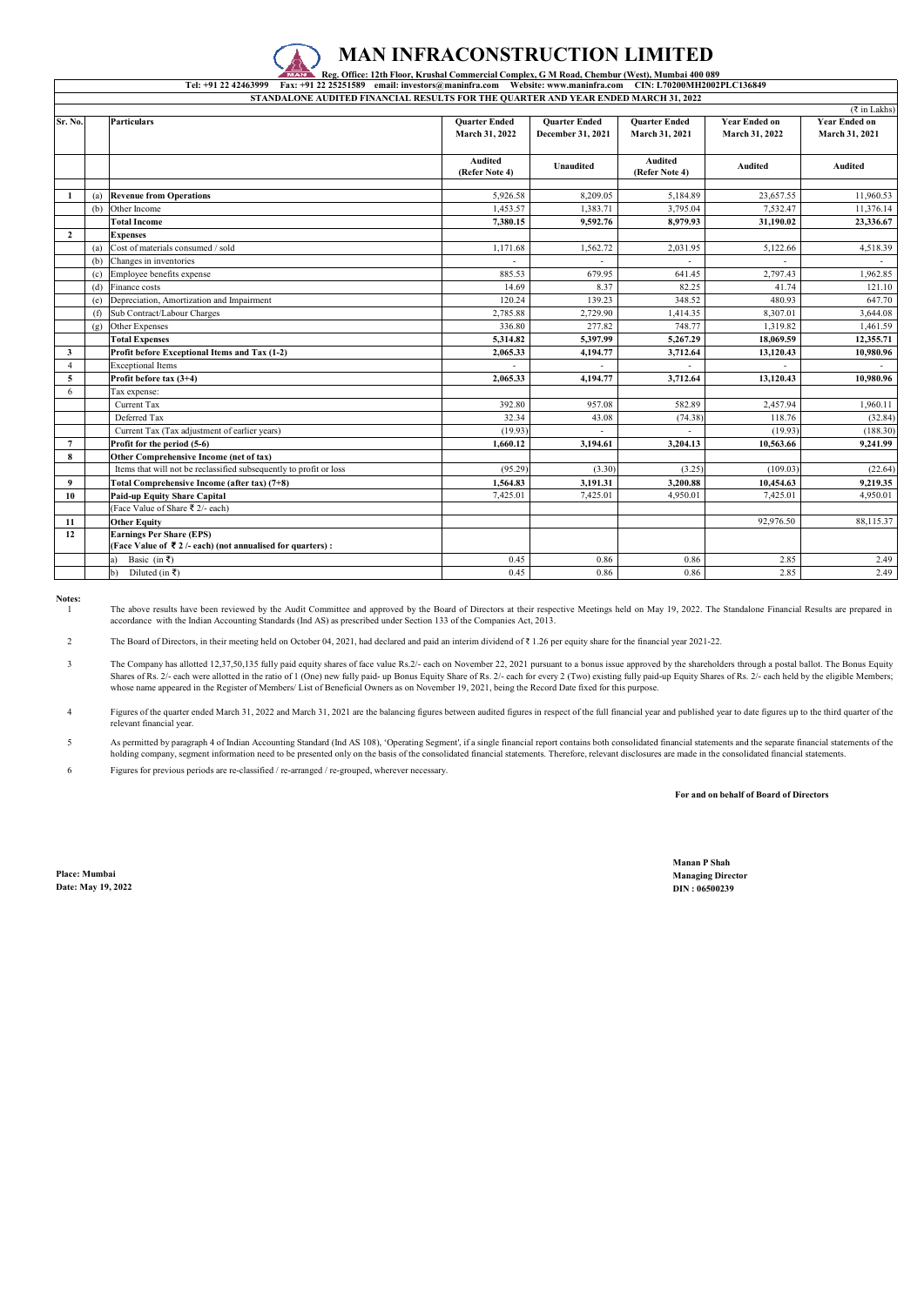### **MAN INFRACONSTRUCTION LIMITED**

### Reg. Office: 12th Floor, Krushal Commercial Complex, G M Road, Chembur (West), Mumbai 400 089<br>Tel: +91 22 42463999 Fax: +91 22 25251589 email: investors@maninfra.com Website: www.maninfra.com CIN: L70200MH2002PLC136849 **STANDALONE AUDITED FINANCIAL RESULTS FOR THE QUARTER AND YEAR ENDED MARCH 31, 2022**

| $(3 \in \mathbb{Z}^2)$ in Lakhs) |     |                                                                                                              |                                        |                                           |                                        |                                        |                                        |  |  |  |
|----------------------------------|-----|--------------------------------------------------------------------------------------------------------------|----------------------------------------|-------------------------------------------|----------------------------------------|----------------------------------------|----------------------------------------|--|--|--|
| Sr. No.                          |     | <b>Particulars</b>                                                                                           | <b>Quarter Ended</b><br>March 31, 2022 | <b>Quarter Ended</b><br>December 31, 2021 | <b>Quarter Ended</b><br>March 31, 2021 | <b>Year Ended on</b><br>March 31, 2022 | <b>Year Ended on</b><br>March 31, 2021 |  |  |  |
|                                  |     |                                                                                                              | Audited<br>(Refer Note 4)              | Unaudited                                 | Audited<br>(Refer Note 4)              | Audited                                | Audited                                |  |  |  |
|                                  | (a) | <b>Revenue from Operations</b>                                                                               | 5.926.58                               | 8.209.05                                  | 5.184.89                               | 23,657.55                              | 11.960.53                              |  |  |  |
|                                  | (b) | Other Income                                                                                                 | 1.453.57                               | 1.383.71                                  | 3,795.04                               | 7.532.47                               | 11,376.14                              |  |  |  |
|                                  |     | <b>Total Income</b>                                                                                          | 7,380.15                               | 9,592.76                                  | 8.979.93                               | 31,190.02                              | 23,336.67                              |  |  |  |
| $\overline{2}$                   |     | <b>Expenses</b>                                                                                              |                                        |                                           |                                        |                                        |                                        |  |  |  |
|                                  | (a) | Cost of materials consumed / sold                                                                            | 1,171.68                               | 1,562.72                                  | 2.031.95                               | 5,122.66                               | 4,518.39                               |  |  |  |
|                                  | (b) | Changes in inventories                                                                                       |                                        |                                           |                                        |                                        |                                        |  |  |  |
|                                  | (c) | Employee benefits expense                                                                                    | 885.53                                 | 679.95                                    | 641.45                                 | 2,797.43                               | 1.962.85                               |  |  |  |
|                                  | (d) | Finance costs                                                                                                | 14.69                                  | 8.37                                      | 82.25                                  | 41.74                                  | 121.10                                 |  |  |  |
|                                  | (e) | Depreciation, Amortization and Impairment                                                                    | 120.24                                 | 139.23                                    | 348.52                                 | 480.93                                 | 647.70                                 |  |  |  |
|                                  | (f) | Sub Contract/Labour Charges                                                                                  | 2,785.88                               | 2,729.90                                  | 1.414.35                               | 8,307.01                               | 3,644.08                               |  |  |  |
|                                  | (g) | Other Expenses                                                                                               | 336.80                                 | 277.82                                    | 748.77                                 | 1,319.82                               | 1,461.59                               |  |  |  |
|                                  |     | <b>Total Expenses</b>                                                                                        | 5.314.82                               | 5.397.99                                  | 5.267.29                               | 18,069.59                              | 12,355.71                              |  |  |  |
| 3                                |     | Profit before Exceptional Items and Tax (1-2)                                                                | 2,065.33                               | 4,194.77                                  | 3,712.64                               | 13,120.43                              | 10,980.96                              |  |  |  |
| $\overline{4}$                   |     | <b>Exceptional Items</b>                                                                                     |                                        |                                           |                                        |                                        |                                        |  |  |  |
| 5                                |     | Profit before tax $(3+4)$                                                                                    | 2,065.33                               | 4,194.77                                  | 3,712.64                               | 13.120.43                              | 10,980.96                              |  |  |  |
| 6                                |     | Tax expense:                                                                                                 |                                        |                                           |                                        |                                        |                                        |  |  |  |
|                                  |     | Current Tax                                                                                                  | 392.80                                 | 957.08                                    | 582.89                                 | 2,457.94                               | 1.960.11                               |  |  |  |
|                                  |     | Deferred Tax                                                                                                 | 32.34                                  | 43.08                                     | (74.38)                                | 118.76                                 | (32.84)                                |  |  |  |
|                                  |     | Current Tax (Tax adjustment of earlier years)                                                                | (19.93)                                |                                           |                                        | (19.93)                                | (188.30)                               |  |  |  |
| $\overline{7}$                   |     | Profit for the period (5-6)                                                                                  | 1,660.12                               | 3.194.61                                  | 3.204.13                               | 10.563.66                              | 9.241.99                               |  |  |  |
| 8                                |     | Other Comprehensive Income (net of tax)                                                                      |                                        |                                           |                                        |                                        |                                        |  |  |  |
|                                  |     | Items that will not be reclassified subsequently to profit or loss                                           | (95.29)                                | (3.30)                                    | (3.25)                                 | (109.03)                               | (22.64)                                |  |  |  |
| 9                                |     | Total Comprehensive Income (after tax) (7+8)                                                                 | 1.564.83                               | 3.191.31                                  | 3.200.88                               | 10,454.63                              | 9.219.35                               |  |  |  |
| 10                               |     | <b>Paid-up Equity Share Capital</b>                                                                          | 7,425.01                               | 7,425.01                                  | 4.950.01                               | 7,425.01                               | 4,950.01                               |  |  |  |
|                                  |     | (Face Value of Share ₹ 2/- each)                                                                             |                                        |                                           |                                        |                                        |                                        |  |  |  |
| 11                               |     | <b>Other Equity</b>                                                                                          |                                        |                                           |                                        | 92,976.50                              | 88,115.37                              |  |  |  |
| 12                               |     | <b>Earnings Per Share (EPS)</b><br>(Face Value of $\bar{\bar{\xi}}$ 2/- each) (not annualised for quarters): |                                        |                                           |                                        |                                        |                                        |  |  |  |
|                                  |     | Basic (in ₹)<br>a)                                                                                           | 0.45                                   | 0.86                                      | 0.86                                   | 2.85                                   | 2.49                                   |  |  |  |
|                                  |     | Diluted (in ₹)<br>$\mathbf{b}$                                                                               | 0.45                                   | 0.86                                      | 0.86                                   | 2.85                                   | 2.49                                   |  |  |  |

**Notes:**

1 The above results have been reviewed by the Audit Committee and approved by the Board of Directors at their respective Meetings held on May 19, 2022. The Standalone Financial Results are prepared in accordance with the Indian Accounting Standards (Ind AS) as prescribed under Section 133 of the Companies Act, 2013.

2 The Board of Directors, in their meeting held on October 04, 2021, had declared and paid an interim dividend of ₹ 1.26 per equity share for the financial year 2021-22.

3 The Company has allotted 12,37,50,135 fully paid equity shares of face value Rs.2/- each on November 22, 2021 pursuant to a bonus issue approved by the shareholders through a postal ballot. The Bonus Equity<br>Shares of Rs. 2 whose name appeared in the Register of Members/ List of Beneficial Owners as on November 19, 2021, being the Record Date fixed for this purpose.

4 Figures of the quarter ended March 31, 2022 and March 31, 2021 are the balancing figures between audited figures in respect of the full financial year and published year to date figures up to the third quarter of the relevant financial year.

5 As permitted by paragraph 4 of Indian Accounting Standard (Ind AS 108), 'Operating Segment', if a single financial report contains both consolidated financial statements and the separate financial statements of the<br>holding

6 Figures for previous periods are re-classified / re-arranged / re-grouped, wherever necessary.

 **For and on behalf of Board of Directors**

**Place: Mumbai Managing Director Date: May 19, 2022 DIN : 06500239**

**Manan P Shah**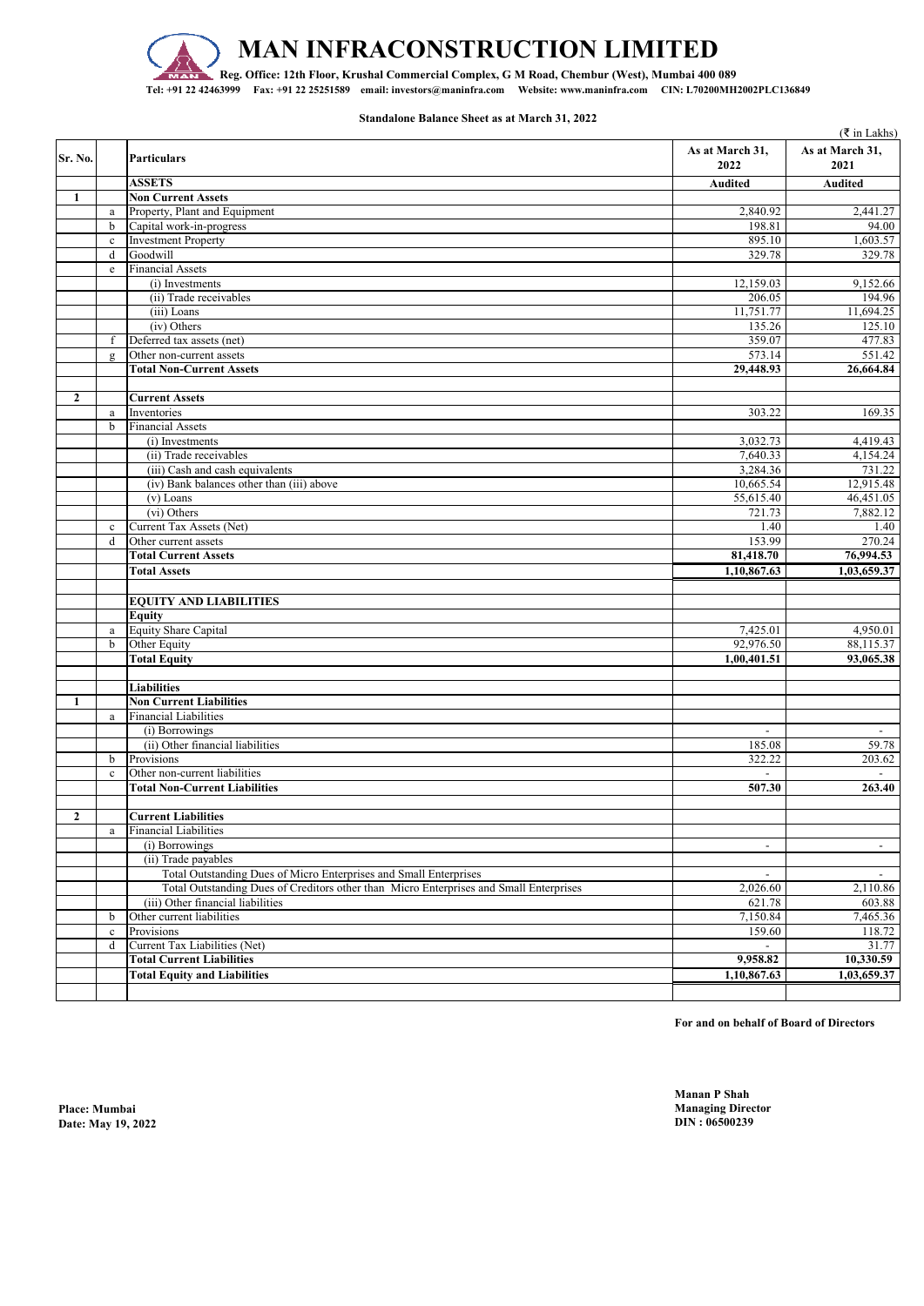

# **MAN INFRACONSTRUCTION LIMITED**

**Reg. Office: 12th Floor, Krushal Commercial Complex, G M Road, Chembur (West), Mumbai 400 089 Tel: +91 22 42463999 Fax: +91 22 25251589 email: investors@maninfra.com Website: www.maninfra.com CIN: L70200MH2002PLC136849**

**Standalone Balance Sheet as at March 31, 2022**

|              |              |                                                                                        |                          | $(\xi$ in Lakhs)        |
|--------------|--------------|----------------------------------------------------------------------------------------|--------------------------|-------------------------|
| Sr. No.      |              | <b>Particulars</b>                                                                     | As at March 31,<br>2022  | As at March 31,<br>2021 |
|              |              | <b>ASSETS</b>                                                                          | Audited                  | Audited                 |
| 1            |              | <b>Non Current Assets</b>                                                              |                          |                         |
|              | $\rm{a}$     | Property, Plant and Equipment                                                          | 2,840.92                 | 2,441.27                |
|              | b            | Capital work-in-progress                                                               | 198.81                   | 94.00                   |
|              | $\mathbf c$  | <b>Investment Property</b>                                                             | 895.10                   | 1,603.57                |
|              | d            | Goodwill                                                                               | 329.78                   | 329.78                  |
|              | e            | <b>Financial Assets</b>                                                                |                          |                         |
|              |              | $(i)$ Investments                                                                      | 12,159.03                | 9,152.66                |
|              |              | (ii) Trade receivables                                                                 | 206.05                   | 194.96                  |
|              |              | (iii) Loans                                                                            | 11,751.77                | 11,694.25               |
|              |              | (iv) Others                                                                            | 135.26                   | 125.10                  |
|              | f            | Deferred tax assets (net)                                                              | 359.07                   | 477.83                  |
|              | $\mathbf{g}$ | Other non-current assets                                                               | 573.14                   | 551.42                  |
|              |              | <b>Total Non-Current Assets</b>                                                        | 29,448.93                | 26,664.84               |
| $\mathbf{2}$ |              | <b>Current Assets</b>                                                                  |                          |                         |
|              | $\rm{a}$     | Inventories                                                                            | 303.22                   | 169.35                  |
|              | b            | <b>Financial Assets</b>                                                                |                          |                         |
|              |              | (i) Investments                                                                        | 3,032.73                 | 4,419.43                |
|              |              | (ii) Trade receivables                                                                 | 7,640.33                 | 4,154.24                |
|              |              | (iii) Cash and cash equivalents                                                        | 3,284.36                 | 731.22                  |
|              |              | (iv) Bank balances other than (iii) above                                              | 10,665.54                | 12,915.48               |
|              |              | $(v)$ Loans                                                                            | 55,615.40                | 46,451.05               |
|              |              | (vi) Others                                                                            | 721.73                   | 7,882.12                |
|              | $\mathbf{c}$ | Current Tax Assets (Net)                                                               | 1.40                     | 1.40                    |
|              | $\mathbf d$  | Other current assets                                                                   | 153.99                   | 270.24                  |
|              |              | <b>Total Current Assets</b>                                                            | 81,418.70                | 76,994.53               |
|              |              | <b>Total Assets</b>                                                                    | 1,10,867.63              | 1,03,659.37             |
|              |              |                                                                                        |                          |                         |
|              |              | <b>EQUITY AND LIABILITIES</b>                                                          |                          |                         |
|              |              | Equity                                                                                 |                          |                         |
|              | a            | <b>Equity Share Capital</b>                                                            | 7,425.01                 | 4,950.01                |
|              | $\mathbf b$  | Other Equity                                                                           | 92,976.50                | 88,115.37               |
|              |              | <b>Total Equity</b>                                                                    | 1,00,401.51              | 93,065.38               |
|              |              |                                                                                        |                          |                         |
|              |              | <b>Liabilities</b>                                                                     |                          |                         |
| 1            |              | <b>Non Current Liabilities</b>                                                         |                          |                         |
|              | a            | <b>Financial Liabilities</b>                                                           |                          |                         |
|              |              | (i) Borrowings                                                                         | $\blacksquare$           | $\sim$                  |
|              |              | (ii) Other financial liabilities                                                       | 185.08                   | 59.78                   |
|              | b            | Provisions                                                                             | 322.22                   | 203.62                  |
|              | $\mathbf{c}$ | Other non-current liabilities                                                          |                          |                         |
|              |              | <b>Total Non-Current Liabilities</b>                                                   | 507.30                   | 263.40                  |
|              |              |                                                                                        |                          |                         |
| $\mathbf{2}$ |              | <b>Current Liabilities</b>                                                             |                          |                         |
|              | $\rm{a}$     | <b>Financial Liabilities</b>                                                           |                          |                         |
|              |              | (i) Borrowings                                                                         | $\overline{\phantom{a}}$ | $\sim$                  |
|              |              | (ii) Trade payables                                                                    |                          |                         |
|              |              | Total Outstanding Dues of Micro Enterprises and Small Enterprises                      | $\overline{\phantom{a}}$ | $\sim$                  |
|              |              | Total Outstanding Dues of Creditors other than Micro Enterprises and Small Enterprises | 2,026.60                 | 2,110.86                |
|              |              | (iii) Other financial liabilities                                                      | 621.78                   | 603.88                  |
|              | b            | Other current liabilities                                                              | 7,150.84                 | 7,465.36                |
|              | $\mathbf c$  | Provisions                                                                             | 159.60                   | 118.72                  |
|              | $\mathbf d$  | Current Tax Liabilities (Net)                                                          |                          | 31.77                   |
|              |              | <b>Total Current Liabilities</b>                                                       | 9,958.82                 | 10,330.59               |
|              |              | <b>Total Equity and Liabilities</b>                                                    | 1,10,867.63              | 1,03,659.37             |
|              |              |                                                                                        |                          |                         |

**For and on behalf of Board of Directors**

**Manan P Shah Place: Mumbai Managing Director**